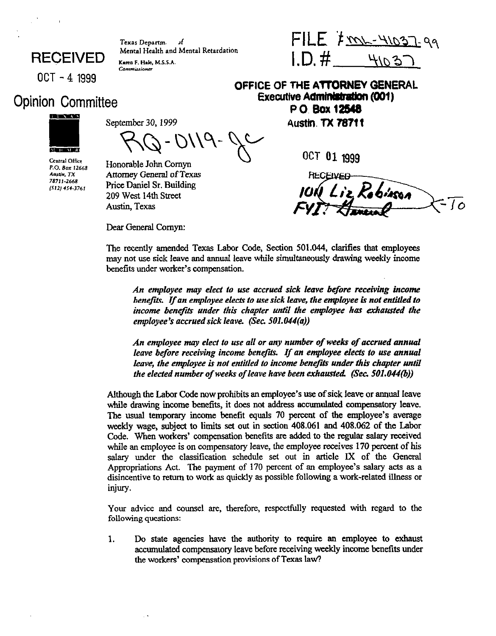Texas Departm. ٦f Mental Health and Mental Retardation Karen F. Hale, M.S.S.A.

**RECEIVED** 

## Opinion Committee



Central Office P.O. Box 12668 Austin, TX 78711-2668  $(512) 454 3761$ 

s.ptg;yb,,y- ~~ hsth~~l~

Commissioner

 $3 - 0119$ 

Honorable John Comyn Attorney General of Texas Price Daniel Sr. Building *209* West 14th Street Austin, Texas

Dear General Cornyn:

 $FILE$  /m - 41037-99  $1.D.$ #  $4102$ 

**OCT - 4 1999 OFFICE OF THE ATTORNEY GENERAL Executive Administration (001) P0.Box12538** 

OCT 01 1999

The recently amended Texas Labor code, Section 501.044, clarifies that employees may not use sick leave and annual leave while simultaneously drawing weekly income benefits under worker's compensation.

*An empbyee may elect lo use accrued sick leave before receiving income benejii. If an employee elects to use sick leave, the employee is not entitled to*  income benefits under this chapter until the employee has exhausted the employee's accrued sick leave. (Sec. 501.044(a))

*An empbyee may elect to use all or any number of weeks of accrued annual leave before receiving income benefits. If an employee elects to use annual leave, the employee is not entitled to income benefits under this chapter until* the elected number of weeks of leave have been exhausted. (Sec. 501.044(b))

Although the Labor Code now prohibits an employee's use of sick leave or ammal leave while drawing income benefits, it does not address accumulated compensatory leave. The usual temporary income benefit equals 70 percent of the employee's average weekly wage, subject to limits set out in section 408.061 and 408.062 of the Labor Code. When workers' compensation benefits arc added to the regular salary received while an employee is on compensatory leave, the employee receives 170 percent of his salary under the classification schedule set out in article IX of the General Appropriations Act. The payment of 170 percent of an employee's salary acts as a disincentive to return to work as quickly as possible following a work-related illness or injury.

Your advice and counsel are, therefore, respectfully requested with regard to the following questions:

1. Do state agencies have the authority to require an employee to exhaust accumulated compensatory leave before receiving weekly income benefits under the workers' compensation provisions of Texas law7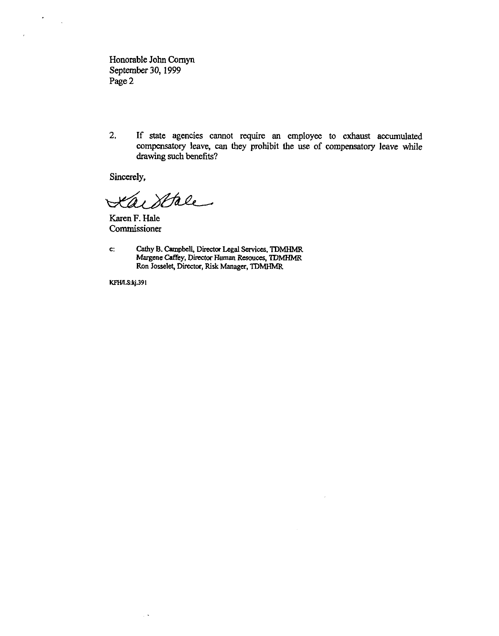Honorable John Comyn September 30,1999 Page 2

2. If state agencies cannot require an employee to exhaust accumulated compensatory leave, can they prohibit the use of compensatory leave while drawing such benefits?

Sincerely,

 $\hat{\phantom{a}}$ 

Kaistre

Karen F. Hale Commissioner

 $\mathbf{c}$ : Cathy B. Campbell, Director Legal Services, TDMHMR Margene Caffey, Director Human Resouces, TDMHMR Ron Josselet, Director, Risk Manager, TDMHMR

**KFH/LS:kj.391** 

 $\bar{\mathcal{A}}$